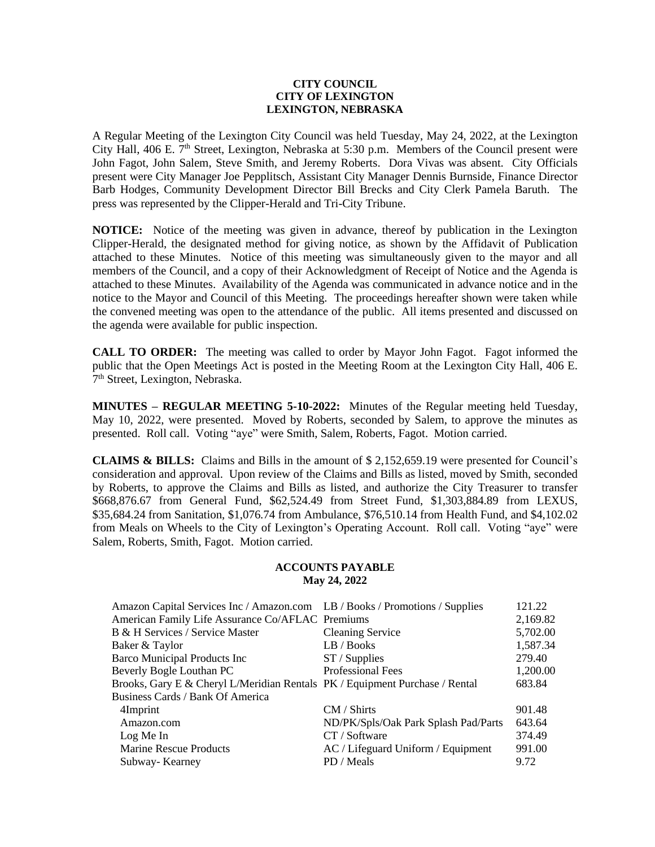### **CITY COUNCIL CITY OF LEXINGTON LEXINGTON, NEBRASKA**

A Regular Meeting of the Lexington City Council was held Tuesday, May 24, 2022, at the Lexington City Hall, 406 E. 7<sup>th</sup> Street, Lexington, Nebraska at 5:30 p.m. Members of the Council present were John Fagot, John Salem, Steve Smith, and Jeremy Roberts. Dora Vivas was absent. City Officials present were City Manager Joe Pepplitsch, Assistant City Manager Dennis Burnside, Finance Director Barb Hodges, Community Development Director Bill Brecks and City Clerk Pamela Baruth. The press was represented by the Clipper-Herald and Tri-City Tribune.

**NOTICE:** Notice of the meeting was given in advance, thereof by publication in the Lexington Clipper-Herald, the designated method for giving notice, as shown by the Affidavit of Publication attached to these Minutes. Notice of this meeting was simultaneously given to the mayor and all members of the Council, and a copy of their Acknowledgment of Receipt of Notice and the Agenda is attached to these Minutes. Availability of the Agenda was communicated in advance notice and in the notice to the Mayor and Council of this Meeting. The proceedings hereafter shown were taken while the convened meeting was open to the attendance of the public. All items presented and discussed on the agenda were available for public inspection.

**CALL TO ORDER:** The meeting was called to order by Mayor John Fagot. Fagot informed the public that the Open Meetings Act is posted in the Meeting Room at the Lexington City Hall, 406 E. 7<sup>th</sup> Street, Lexington, Nebraska.

**MINUTES – REGULAR MEETING 5-10-2022:** Minutes of the Regular meeting held Tuesday, May 10, 2022, were presented. Moved by Roberts, seconded by Salem, to approve the minutes as presented. Roll call. Voting "aye" were Smith, Salem, Roberts, Fagot. Motion carried.

**CLAIMS & BILLS:** Claims and Bills in the amount of \$ 2,152,659.19 were presented for Council's consideration and approval. Upon review of the Claims and Bills as listed, moved by Smith, seconded by Roberts, to approve the Claims and Bills as listed, and authorize the City Treasurer to transfer \$668,876.67 from General Fund, \$62,524.49 from Street Fund, \$1,303,884.89 from LEXUS, \$35,684.24 from Sanitation, \$1,076.74 from Ambulance, \$76,510.14 from Health Fund, and \$4,102.02 from Meals on Wheels to the City of Lexington's Operating Account. Roll call. Voting "aye" were Salem, Roberts, Smith, Fagot. Motion carried.

## **ACCOUNTS PAYABLE May 24, 2022**

| Amazon Capital Services Inc / Amazon.com LB / Books / Promotions / Supplies |                                      | 121.22   |
|-----------------------------------------------------------------------------|--------------------------------------|----------|
| American Family Life Assurance Co/AFLAC Premiums                            |                                      | 2,169.82 |
| B & H Services / Service Master                                             | <b>Cleaning Service</b>              | 5,702.00 |
| Baker & Taylor                                                              | LB / Books                           | 1,587.34 |
| <b>Barco Municipal Products Inc</b>                                         | $ST /$ Supplies                      | 279.40   |
| Beverly Bogle Louthan PC                                                    | <b>Professional Fees</b>             | 1,200.00 |
| Brooks, Gary E & Cheryl L/Meridian Rentals PK / Equipment Purchase / Rental |                                      | 683.84   |
| Business Cards / Bank Of America                                            |                                      |          |
| 4Imprint                                                                    | CM / Shirts                          | 901.48   |
| Amazon.com                                                                  | ND/PK/Spls/Oak Park Splash Pad/Parts | 643.64   |
| Log Me In                                                                   | CT / Software                        | 374.49   |
| <b>Marine Rescue Products</b>                                               | AC / Lifeguard Uniform / Equipment   | 991.00   |
| Subway-Kearney                                                              | PD / Meals                           | 9.72     |
|                                                                             |                                      |          |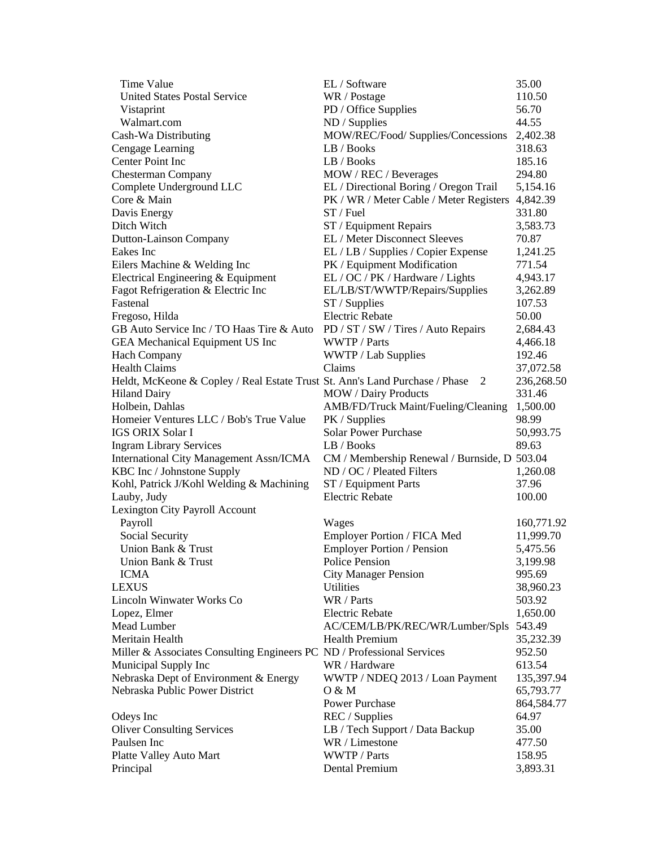| Time Value                                                                    | EL / Software                                | 35.00      |
|-------------------------------------------------------------------------------|----------------------------------------------|------------|
| <b>United States Postal Service</b>                                           | WR / Postage                                 | 110.50     |
| Vistaprint                                                                    | PD / Office Supplies                         | 56.70      |
| Walmart.com                                                                   | ND / Supplies                                | 44.55      |
| Cash-Wa Distributing                                                          | MOW/REC/Food/ Supplies/Concessions           | 2,402.38   |
| Cengage Learning                                                              | LB / Books                                   | 318.63     |
| Center Point Inc                                                              | LB / Books                                   | 185.16     |
| <b>Chesterman Company</b>                                                     | MOW / REC / Beverages                        | 294.80     |
| Complete Underground LLC                                                      | EL / Directional Boring / Oregon Trail       | 5,154.16   |
| Core & Main                                                                   | PK / WR / Meter Cable / Meter Registers      | 4,842.39   |
| Davis Energy                                                                  | $ST$ / Fuel                                  | 331.80     |
| Ditch Witch                                                                   | ST / Equipment Repairs                       | 3,583.73   |
| Dutton-Lainson Company                                                        | EL / Meter Disconnect Sleeves                | 70.87      |
| Eakes Inc                                                                     | EL / LB / Supplies / Copier Expense          | 1,241.25   |
| Eilers Machine & Welding Inc                                                  | PK / Equipment Modification                  | 771.54     |
| Electrical Engineering & Equipment                                            | EL / OC / PK / Hardware / Lights             | 4,943.17   |
| Fagot Refrigeration & Electric Inc                                            | EL/LB/ST/WWTP/Repairs/Supplies               | 3,262.89   |
| Fastenal                                                                      | ST / Supplies                                | 107.53     |
|                                                                               | <b>Electric Rebate</b>                       | 50.00      |
| Fregoso, Hilda<br>GB Auto Service Inc / TO Haas Tire & Auto                   |                                              |            |
|                                                                               | PD / ST / SW / Tires / Auto Repairs          | 2,684.43   |
| <b>GEA</b> Mechanical Equipment US Inc                                        | WWTP / Parts                                 | 4,466.18   |
| <b>Hach Company</b>                                                           | WWTP / Lab Supplies                          | 192.46     |
| <b>Health Claims</b>                                                          | Claims                                       | 37,072.58  |
| Heldt, McKeone & Copley / Real Estate Trust St. Ann's Land Purchase / Phase 2 |                                              | 236,268.50 |
| <b>Hiland Dairy</b>                                                           | <b>MOW</b> / Dairy Products                  | 331.46     |
| Holbein, Dahlas                                                               | AMB/FD/Truck Maint/Fueling/Cleaning          | 1,500.00   |
| Homeier Ventures LLC / Bob's True Value                                       | PK / Supplies                                | 98.99      |
| <b>IGS ORIX Solar I</b>                                                       | <b>Solar Power Purchase</b>                  | 50,993.75  |
| <b>Ingram Library Services</b>                                                | LB / Books                                   | 89.63      |
| <b>International City Management Assn/ICMA</b>                                | CM / Membership Renewal / Burnside, D 503.04 |            |
| KBC Inc / Johnstone Supply                                                    | ND / OC / Pleated Filters                    | 1,260.08   |
| Kohl, Patrick J/Kohl Welding & Machining                                      | ST / Equipment Parts                         | 37.96      |
| Lauby, Judy                                                                   | <b>Electric Rebate</b>                       | 100.00     |
| Lexington City Payroll Account                                                |                                              |            |
| Payroll                                                                       | Wages                                        | 160,771.92 |
| Social Security                                                               | Employer Portion / FICA Med                  | 11,999.70  |
| Union Bank & Trust                                                            | <b>Employer Portion / Pension</b>            | 5,475.56   |
| Union Bank & Trust                                                            | Police Pension                               | 3,199.98   |
| <b>ICMA</b>                                                                   | <b>City Manager Pension</b>                  | 995.69     |
| <b>LEXUS</b>                                                                  | <b>Utilities</b>                             | 38,960.23  |
| Lincoln Winwater Works Co                                                     | WR / Parts                                   | 503.92     |
| Lopez, Elmer                                                                  | <b>Electric Rebate</b>                       | 1,650.00   |
| Mead Lumber                                                                   | AC/CEM/LB/PK/REC/WR/Lumber/Spls              | 543.49     |
| Meritain Health                                                               | <b>Health Premium</b>                        | 35,232.39  |
| Miller & Associates Consulting Engineers PC ND / Professional Services        |                                              | 952.50     |
| Municipal Supply Inc                                                          | WR / Hardware                                | 613.54     |
| Nebraska Dept of Environment & Energy                                         | WWTP / NDEQ 2013 / Loan Payment              | 135,397.94 |
| Nebraska Public Power District                                                | O & M                                        | 65,793.77  |
|                                                                               | <b>Power Purchase</b>                        | 864,584.77 |
| Odeys Inc                                                                     | REC / Supplies                               | 64.97      |
| <b>Oliver Consulting Services</b>                                             | LB / Tech Support / Data Backup              | 35.00      |
| Paulsen Inc                                                                   | WR / Limestone                               | 477.50     |
| Platte Valley Auto Mart                                                       | WWTP / Parts                                 | 158.95     |
| Principal                                                                     | Dental Premium                               | 3,893.31   |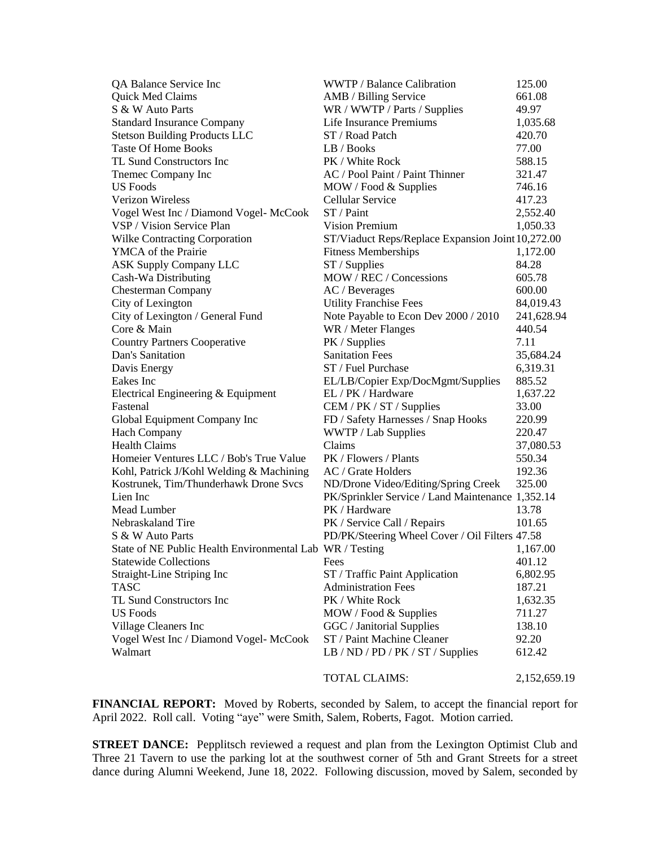| QA Balance Service Inc                                   | WWTP / Balance Calibration                        | 125.00       |
|----------------------------------------------------------|---------------------------------------------------|--------------|
| Quick Med Claims                                         | AMB / Billing Service                             | 661.08       |
| S & W Auto Parts                                         | WR / WWTP / Parts / Supplies                      | 49.97        |
| <b>Standard Insurance Company</b>                        | Life Insurance Premiums                           | 1,035.68     |
| <b>Stetson Building Products LLC</b>                     | ST / Road Patch                                   | 420.70       |
| <b>Taste Of Home Books</b>                               | LB / Books                                        | 77.00        |
| TL Sund Constructors Inc                                 | PK / White Rock                                   | 588.15       |
| Themec Company Inc                                       | AC / Pool Paint / Paint Thinner                   | 321.47       |
| <b>US</b> Foods                                          | MOW / Food & Supplies                             | 746.16       |
| Verizon Wireless                                         | Cellular Service                                  | 417.23       |
| Vogel West Inc / Diamond Vogel- McCook                   | ST / Paint                                        | 2,552.40     |
| VSP / Vision Service Plan                                | Vision Premium                                    | 1,050.33     |
| <b>Wilke Contracting Corporation</b>                     | ST/Viaduct Reps/Replace Expansion Joint 10,272.00 |              |
| YMCA of the Prairie                                      | <b>Fitness Memberships</b>                        | 1,172.00     |
| <b>ASK Supply Company LLC</b>                            | $ST /$ Supplies                                   | 84.28        |
| Cash-Wa Distributing                                     | MOW / REC / Concessions                           | 605.78       |
| <b>Chesterman Company</b>                                | AC / Beverages                                    | 600.00       |
| City of Lexington                                        | <b>Utility Franchise Fees</b>                     | 84,019.43    |
| City of Lexington / General Fund                         | Note Payable to Econ Dev 2000 / 2010              | 241,628.94   |
| Core & Main                                              | WR / Meter Flanges                                | 440.54       |
| <b>Country Partners Cooperative</b>                      | PK / Supplies                                     | 7.11         |
| Dan's Sanitation                                         | <b>Sanitation Fees</b>                            | 35,684.24    |
| Davis Energy                                             | ST / Fuel Purchase                                | 6,319.31     |
| Eakes Inc                                                | EL/LB/Copier Exp/DocMgmt/Supplies                 | 885.52       |
| Electrical Engineering & Equipment                       | EL / PK / Hardware                                | 1,637.22     |
| Fastenal                                                 | CEM / PK / ST / Supplies                          | 33.00        |
| Global Equipment Company Inc                             | FD / Safety Harnesses / Snap Hooks                | 220.99       |
| <b>Hach Company</b>                                      | WWTP / Lab Supplies                               | 220.47       |
| <b>Health Claims</b>                                     | Claims                                            | 37,080.53    |
| Homeier Ventures LLC / Bob's True Value                  | PK / Flowers / Plants                             | 550.34       |
| Kohl, Patrick J/Kohl Welding & Machining                 | AC / Grate Holders                                | 192.36       |
| Kostrunek, Tim/Thunderhawk Drone Svcs                    | ND/Drone Video/Editing/Spring Creek               | 325.00       |
| Lien Inc                                                 | PK/Sprinkler Service / Land Maintenance 1,352.14  |              |
| Mead Lumber                                              | PK / Hardware                                     | 13.78        |
| Nebraskaland Tire                                        | PK / Service Call / Repairs                       | 101.65       |
| S & W Auto Parts                                         | PD/PK/Steering Wheel Cover / Oil Filters 47.58    |              |
| State of NE Public Health Environmental Lab WR / Testing |                                                   | 1,167.00     |
| <b>Statewide Collections</b>                             | Fees                                              | 401.12       |
| Straight-Line Striping Inc                               | ST / Traffic Paint Application                    | 6,802.95     |
| <b>TASC</b>                                              | <b>Administration Fees</b>                        | 187.21       |
| TL Sund Constructors Inc                                 | PK / White Rock                                   | 1,632.35     |
| <b>US</b> Foods                                          | MOW / Food & Supplies                             | 711.27       |
| Village Cleaners Inc                                     | GGC / Janitorial Supplies                         | 138.10       |
| Vogel West Inc / Diamond Vogel- McCook                   | ST / Paint Machine Cleaner                        | 92.20        |
| Walmart                                                  | LB / ND / PD / PK / ST / Supplies                 | 612.42       |
|                                                          | <b>TOTAL CLAIMS:</b>                              | 2,152,659.19 |
|                                                          |                                                   |              |

**FINANCIAL REPORT:** Moved by Roberts, seconded by Salem, to accept the financial report for April 2022. Roll call. Voting "aye" were Smith, Salem, Roberts, Fagot. Motion carried.

**STREET DANCE:** Pepplitsch reviewed a request and plan from the Lexington Optimist Club and Three 21 Tavern to use the parking lot at the southwest corner of 5th and Grant Streets for a street dance during Alumni Weekend, June 18, 2022. Following discussion, moved by Salem, seconded by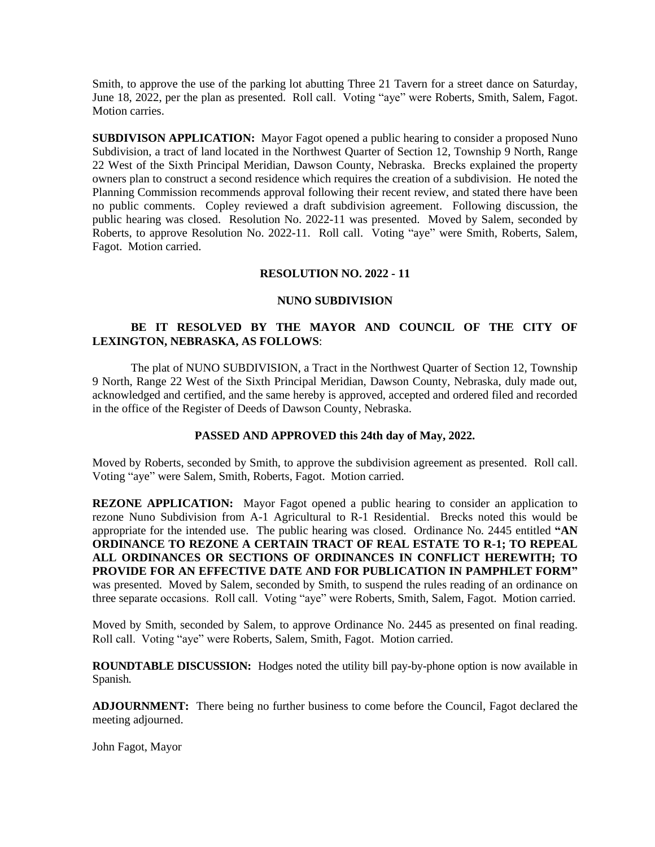Smith, to approve the use of the parking lot abutting Three 21 Tavern for a street dance on Saturday, June 18, 2022, per the plan as presented. Roll call. Voting "aye" were Roberts, Smith, Salem, Fagot. Motion carries.

**SUBDIVISON APPLICATION:** Mayor Fagot opened a public hearing to consider a proposed Nuno Subdivision, a tract of land located in the Northwest Quarter of Section 12, Township 9 North, Range 22 West of the Sixth Principal Meridian, Dawson County, Nebraska. Brecks explained the property owners plan to construct a second residence which requires the creation of a subdivision. He noted the Planning Commission recommends approval following their recent review, and stated there have been no public comments. Copley reviewed a draft subdivision agreement. Following discussion, the public hearing was closed. Resolution No. 2022-11 was presented. Moved by Salem, seconded by Roberts, to approve Resolution No. 2022-11. Roll call. Voting "aye" were Smith, Roberts, Salem, Fagot. Motion carried.

## **RESOLUTION NO. 2022 - 11**

#### **NUNO SUBDIVISION**

# **BE IT RESOLVED BY THE MAYOR AND COUNCIL OF THE CITY OF LEXINGTON, NEBRASKA, AS FOLLOWS**:

The plat of NUNO SUBDIVISION, a Tract in the Northwest Quarter of Section 12, Township 9 North, Range 22 West of the Sixth Principal Meridian, Dawson County, Nebraska, duly made out, acknowledged and certified, and the same hereby is approved, accepted and ordered filed and recorded in the office of the Register of Deeds of Dawson County, Nebraska.

## **PASSED AND APPROVED this 24th day of May, 2022.**

Moved by Roberts, seconded by Smith, to approve the subdivision agreement as presented. Roll call. Voting "aye" were Salem, Smith, Roberts, Fagot. Motion carried.

**REZONE APPLICATION:** Mayor Fagot opened a public hearing to consider an application to rezone Nuno Subdivision from A-1 Agricultural to R-1 Residential. Brecks noted this would be appropriate for the intended use. The public hearing was closed. Ordinance No. 2445 entitled **"AN ORDINANCE TO REZONE A CERTAIN TRACT OF REAL ESTATE TO R-1; TO REPEAL ALL ORDINANCES OR SECTIONS OF ORDINANCES IN CONFLICT HEREWITH; TO PROVIDE FOR AN EFFECTIVE DATE AND FOR PUBLICATION IN PAMPHLET FORM"** was presented. Moved by Salem, seconded by Smith, to suspend the rules reading of an ordinance on three separate occasions. Roll call. Voting "aye" were Roberts, Smith, Salem, Fagot. Motion carried.

Moved by Smith, seconded by Salem, to approve Ordinance No. 2445 as presented on final reading. Roll call. Voting "aye" were Roberts, Salem, Smith, Fagot. Motion carried.

**ROUNDTABLE DISCUSSION:** Hodges noted the utility bill pay-by-phone option is now available in Spanish.

**ADJOURNMENT:** There being no further business to come before the Council, Fagot declared the meeting adjourned.

John Fagot, Mayor